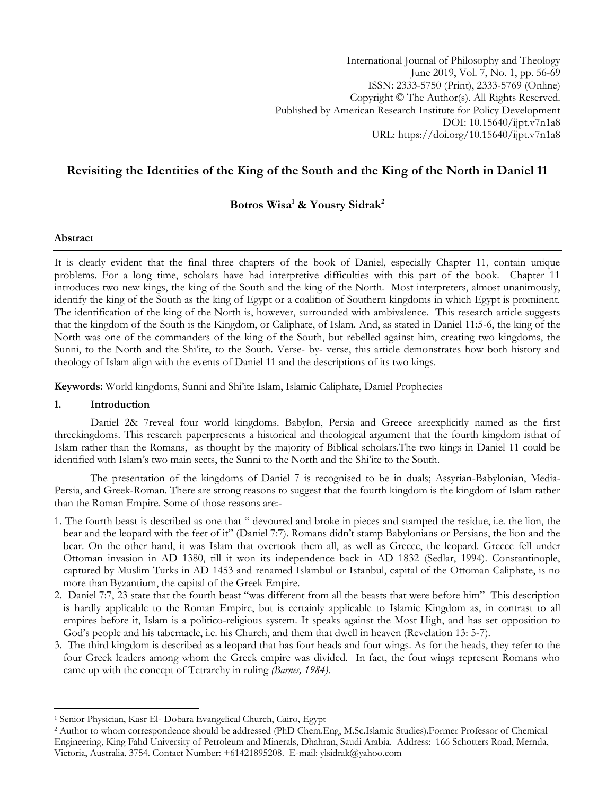International Journal of Philosophy and Theology June 2019, Vol. 7, No. 1, pp. 56-69 ISSN: 2333-5750 (Print), 2333-5769 (Online) Copyright © The Author(s). All Rights Reserved. Published by American Research Institute for Policy Development DOI: 10.15640/ijpt.v7n1a8 URL: https://doi.org/10.15640/ijpt.v7n1a8

# **Revisiting the Identities of the King of the South and the King of the North in Daniel 11**

# **Botros Wisa<sup>1</sup> & Yousry Sidrak<sup>2</sup>**

### **Abstract**

It is clearly evident that the final three chapters of the book of Daniel, especially Chapter 11, contain unique problems. For a long time, scholars have had interpretive difficulties with this part of the book. Chapter 11 introduces two new kings, the king of the South and the king of the North. Most interpreters, almost unanimously, identify the king of the South as the king of Egypt or a coalition of Southern kingdoms in which Egypt is prominent. The identification of the king of the North is, however, surrounded with ambivalence. This research article suggests that the kingdom of the South is the Kingdom, or Caliphate, of Islam. And, as stated in Daniel 11:5-6, the king of the North was one of the commanders of the king of the South, but rebelled against him, creating two kingdoms, the Sunni, to the North and the Shi"ite, to the South. Verse- by- verse, this article demonstrates how both history and theology of Islam align with the events of Daniel 11 and the descriptions of its two kings.

**Keywords**: World kingdoms, Sunni and Shi"ite Islam, Islamic Caliphate, Daniel Prophecies

#### **1. Introduction**

 $\overline{\phantom{a}}$ 

Daniel 2& 7reveal four world kingdoms. Babylon, Persia and Greece areexplicitly named as the first threekingdoms. This research paperpresents a historical and theological argument that the fourth kingdom isthat of Islam rather than the Romans, as thought by the majority of Biblical scholars.The two kings in Daniel 11 could be identified with Islam"s two main sects, the Sunni to the North and the Shi"ite to the South.

The presentation of the kingdoms of Daniel 7 is recognised to be in duals; Assyrian-Babylonian, Media-Persia, and Greek-Roman. There are strong reasons to suggest that the fourth kingdom is the kingdom of Islam rather than the Roman Empire. Some of those reasons are:-

- 1. The fourth beast is described as one that " devoured and broke in pieces and stamped the residue, i.e. the lion, the bear and the leopard with the feet of it" (Daniel 7:7). Romans didn"t stamp Babylonians or Persians, the lion and the bear. On the other hand, it was Islam that overtook them all, as well as Greece, the leopard. Greece fell under Ottoman invasion in AD 1380, till it won its independence back in AD 1832 (Sedlar, 1994). Constantinople, captured by Muslim Turks in AD 1453 and renamed Islambul or Istanbul, capital of the Ottoman Caliphate, is no more than Byzantium, the capital of the Greek Empire.
- 2. Daniel 7:7, 23 state that the fourth beast "was different from all the beasts that were before him" This description is hardly applicable to the Roman Empire, but is certainly applicable to Islamic Kingdom as, in contrast to all empires before it, Islam is a politico-religious system. It speaks against the Most High, and has set opposition to God's people and his tabernacle, i.e. his Church, and them that dwell in heaven (Revelation 13: 5-7).
- 3. The third kingdom is described as a leopard that has four heads and four wings. As for the heads, they refer to the four Greek leaders among whom the Greek empire was divided. In fact, the four wings represent Romans who came up with the concept of Tetrarchy in ruling *(Barnes, 1984)*.

<sup>1</sup> Senior Physician, Kasr El- Dobara Evangelical Church, Cairo, Egypt

<sup>2</sup> Author to whom correspondence should be addressed (PhD Chem.Eng, M.Sc.Islamic Studies).Former Professor of Chemical Engineering, King Fahd University of Petroleum and Minerals, Dhahran, Saudi Arabia. Address: 166 Schotters Road, Mernda, Victoria, Australia, 3754. Contact Number: +61421895208. E-mail: ylsidrak@yahoo.com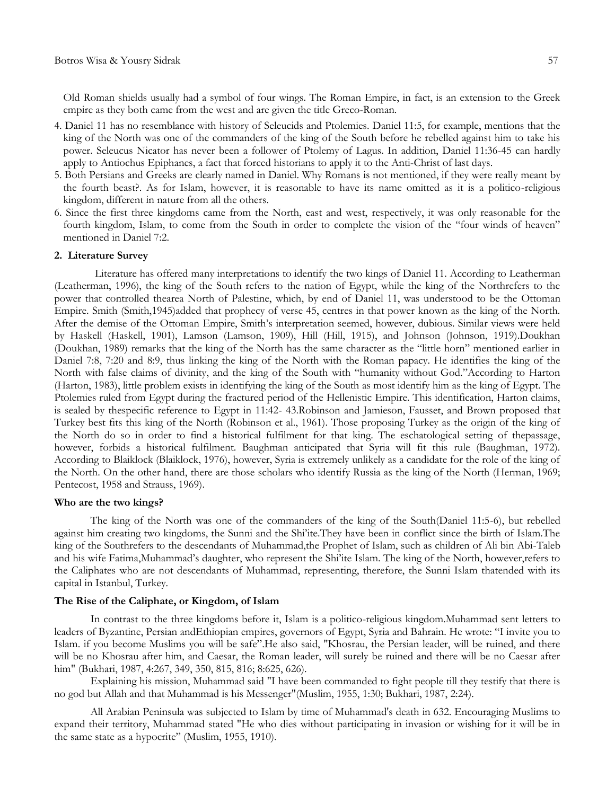Old Roman shields usually had a symbol of four wings. The Roman Empire, in fact, is an extension to the Greek empire as they both came from the west and are given the title Greco-Roman.

- 4. Daniel 11 has no resemblance with history of Seleucids and Ptolemies. Daniel 11:5, for example, mentions that the king of the North was one of the commanders of the king of the South before he rebelled against him to take his power. Seleucus Nicator has never been a follower of Ptolemy of Lagus. In addition, Daniel 11:36-45 can hardly apply to Antiochus Epiphanes, a fact that forced historians to apply it to the Anti-Christ of last days.
- 5. Both Persians and Greeks are clearly named in Daniel. Why Romans is not mentioned, if they were really meant by the fourth beast?. As for Islam, however, it is reasonable to have its name omitted as it is a politico-religious kingdom, different in nature from all the others.
- 6. Since the first three kingdoms came from the North, east and west, respectively, it was only reasonable for the fourth kingdom, Islam, to come from the South in order to complete the vision of the "four winds of heaven" mentioned in Daniel 7:2.

#### **2. Literature Survey**

Literature has offered many interpretations to identify the two kings of Daniel 11. According to Leatherman (Leatherman, 1996), the king of the South refers to the nation of Egypt, while the king of the Northrefers to the power that controlled thearea North of Palestine, which, by end of Daniel 11, was understood to be the Ottoman Empire. Smith (Smith,1945)added that prophecy of verse 45, centres in that power known as the king of the North. After the demise of the Ottoman Empire, Smith"s interpretation seemed, however, dubious. Similar views were held by Haskell (Haskell, 1901), Lamson (Lamson, 1909), Hill (Hill, 1915), and Johnson (Johnson, 1919).Doukhan (Doukhan, 1989) remarks that the king of the North has the same character as the "little horn" mentioned earlier in Daniel 7:8, 7:20 and 8:9, thus linking the king of the North with the Roman papacy. He identifies the king of the North with false claims of divinity, and the king of the South with "humanity without God."According to Harton (Harton, 1983), little problem exists in identifying the king of the South as most identify him as the king of Egypt. The Ptolemies ruled from Egypt during the fractured period of the Hellenistic Empire. This identification, Harton claims, is sealed by thespecific reference to Egypt in 11:42- 43.Robinson and Jamieson, Fausset, and Brown proposed that Turkey best fits this king of the North (Robinson et al., 1961). Those proposing Turkey as the origin of the king of the North do so in order to find a historical fulfilment for that king. The eschatological setting of thepassage, however, forbids a historical fulfilment. Baughman anticipated that Syria will fit this rule (Baughman, 1972). According to Blaiklock (Blaiklock, 1976), however, Syria is extremely unlikely as a candidate for the role of the king of the North. On the other hand, there are those scholars who identify Russia as the king of the North (Herman, 1969; Pentecost, 1958 and Strauss, 1969).

#### **Who are the two kings?**

The king of the North was one of the commanders of the king of the South(Daniel 11:5-6), but rebelled against him creating two kingdoms, the Sunni and the Shi"ite.They have been in conflict since the birth of Islam.The king of the Southrefers to the descendants of Muhammad,the Prophet of Islam, such as children of Ali bin Abi-Taleb and his wife Fatima,Muhammad"s daughter, who represent the Shi"ite Islam. The king of the North, however,refers to the Caliphates who are not descendants of Muhammad, representing, therefore, the Sunni Islam thatended with its capital in Istanbul, Turkey.

#### **The Rise of the Caliphate, or Kingdom, of Islam**

In contrast to the three kingdoms before it, Islam is a politico-religious kingdom.Muhammad sent letters to leaders of Byzantine, Persian andEthiopian empires, governors of Egypt, Syria and Bahrain. He wrote: "I invite you to Islam. if you become Muslims you will be safe".He also said, "Khosrau, the Persian leader, will be ruined, and there will be no Khosrau after him, and Caesar, the Roman leader, will surely be ruined and there will be no Caesar after him" (Bukhari, 1987, 4:267, 349, 350, 815, 816; 8:625, 626).

Explaining his mission, Muhammad said "I have been commanded to fight people till they testify that there is no god but Allah and that Muhammad is his Messenger"(Muslim, 1955, 1:30; Bukhari, 1987, 2:24).

All Arabian Peninsula was subjected to Islam by time of Muhammad's death in 632. Encouraging Muslims to expand their territory, Muhammad stated "He who dies without participating in invasion or wishing for it will be in the same state as a hypocrite" (Muslim, 1955, 1910).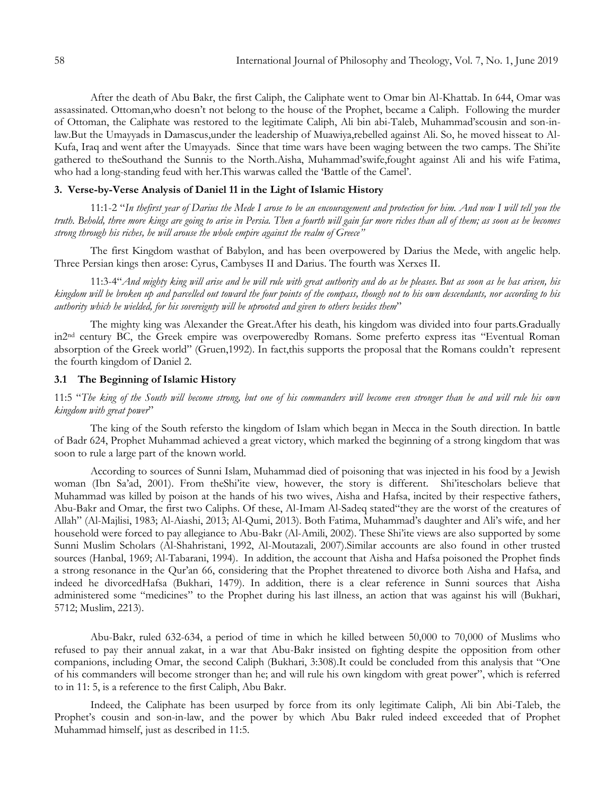After the death of Abu Bakr, the first Caliph, the Caliphate went to Omar bin Al-Khattab. In 644, Omar was assassinated. Ottoman,who doesn"t not belong to the house of the Prophet, became a Caliph. Following the murder of Ottoman, the Caliphate was restored to the legitimate Caliph, Ali bin abi-Taleb, Muhammad"scousin and son-inlaw.But the Umayyads in Damascus,under the leadership of Muawiya,rebelled against Ali. So, he moved hisseat to Al-Kufa, Iraq and went after the Umayyads. Since that time wars have been waging between the two camps. The Shi"ite gathered to theSouthand the Sunnis to the North.Aisha, Muhammad"swife,fought against Ali and his wife Fatima, who had a long-standing feud with her.This warwas called the "Battle of the Camel".

## **3. Verse-by-Verse Analysis of Daniel 11 in the Light of Islamic History**

11:1-2 "*In thefirst year of Darius the Mede I arose to be an encouragement and protection for him. And now I will tell you the truth. Behold, three more kings are going to arise in Persia. Then a fourth will gain far more riches than all of them; as soon as he becomes strong through his riches, he will arouse the whole empire against the realm of Greece"*

The first Kingdom wasthat of Babylon, and has been overpowered by Darius the Mede, with angelic help. Three Persian kings then arose: Cyrus, Cambyses II and Darius. The fourth was Xerxes II.

11:3-4"*And mighty king will arise and he will rule with great authority and do as he pleases. But as soon as he has arisen, his kingdom will be broken up and parcelled out toward the four points of the compass, though not to his own descendants, nor according to his authority which he wielded, for his sovereignty will be uprooted and given to others besides them*"

The mighty king was Alexander the Great.After his death, his kingdom was divided into four parts.Gradually in2nd century BC, the Greek empire was overpoweredby Romans. Some preferto express itas "Eventual Roman absorption of the Greek world" (Gruen,1992). In fact, this supports the proposal that the Romans couldn't represent the fourth kingdom of Daniel 2.

#### **3.1 The Beginning of Islamic History**

11:5 "*The king of the South will become strong, but one of his commanders will become even stronger than he and will rule his own kingdom with great power*"

The king of the South refersto the kingdom of Islam which began in Mecca in the South direction. In battle of Badr 624, Prophet Muhammad achieved a great victory, which marked the beginning of a strong kingdom that was soon to rule a large part of the known world.

According to sources of Sunni Islam, Muhammad died of poisoning that was injected in his food by a Jewish woman (Ibn Sa'ad, 2001). From theShi'ite view, however, the story is different. Shi'itescholars believe that Muhammad was killed by poison at the hands of his two wives, Aisha and Hafsa, incited by their respective fathers, Abu-Bakr and Omar, the first two Caliphs. Of these, Al-Imam Al-Sadeq stated"they are the worst of the creatures of Allah" (Al-Majlisi, 1983; Al-Aiashi, 2013; Al-Qumi, 2013). Both Fatima, Muhammad"s daughter and Ali"s wife, and her household were forced to pay allegiance to Abu-Bakr (Al-Amili, 2002). These Shi"ite views are also supported by some Sunni Muslim Scholars (Al-Shahristani, 1992, Al-Moutazali, 2007).Similar accounts are also found in other trusted sources (Hanbal, 1969; Al-Tabarani, 1994). In addition, the account that Aisha and Hafsa poisoned the Prophet finds a strong resonance in the Qur"an 66, considering that the Prophet threatened to divorce both Aisha and Hafsa, and indeed he divorcedHafsa (Bukhari, 1479). In addition, there is a clear reference in Sunni sources that Aisha administered some "medicines" to the Prophet during his last illness, an action that was against his will (Bukhari, 5712; Muslim, 2213).

Abu-Bakr, ruled 632-634, a period of time in which he killed between 50,000 to 70,000 of Muslims who refused to pay their annual zakat, in a war that Abu-Bakr insisted on fighting despite the opposition from other companions, including Omar, the second Caliph (Bukhari, 3:308).It could be concluded from this analysis that "One of his commanders will become stronger than he; and will rule his own kingdom with great power", which is referred to in 11: 5, is a reference to the first Caliph, Abu Bakr.

Indeed, the Caliphate has been usurped by force from its only legitimate Caliph, Ali bin Abi-Taleb, the Prophet's cousin and son-in-law, and the power by which Abu Bakr ruled indeed exceeded that of Prophet Muhammad himself, just as described in 11:5.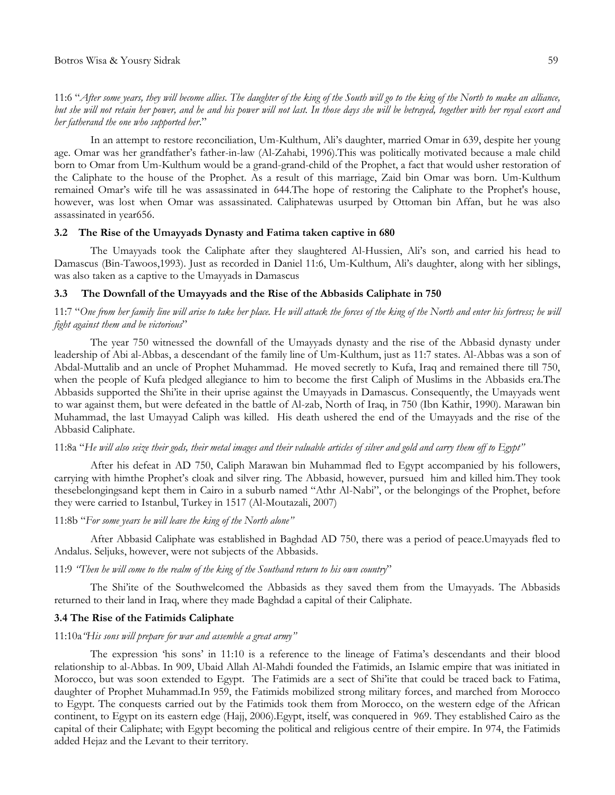11:6 "*After some years, they will become allies. The daughter of the king of the South will go to the king of the North to make an alliance, but she will not retain her power, and he and his power will not last. In those days she will be betrayed, together with her royal escort and her fatherand the one who supported her*."

In an attempt to restore reconciliation, Um-Kulthum, Ali"s daughter, married Omar in 639, despite her young age. Omar was her grandfather"s father-in-law (Al-Zahabi, 1996).This was politically motivated because a male child born to Omar from Um-Kulthum would be a grand-grand-child of the Prophet, a fact that would usher restoration of the Caliphate to the house of the Prophet. As a result of this marriage, Zaid bin Omar was born. Um-Kulthum remained Omar"s wife till he was assassinated in 644.The hope of restoring the Caliphate to the Prophet's house, however, was lost when Omar was assassinated. Caliphatewas usurped by Ottoman bin Affan, but he was also assassinated in year656.

### **3.2 The Rise of the Umayyads Dynasty and Fatima taken captive in 680**

The Umayyads took the Caliphate after they slaughtered Al-Hussien, Ali"s son, and carried his head to Damascus (Bin-Tawoos,1993). Just as recorded in Daniel 11:6, Um-Kulthum, Ali"s daughter, along with her siblings, was also taken as a captive to the Umayyads in Damascus

#### **3.3 The Downfall of the Umayyads and the Rise of the Abbasids Caliphate in 750**

### 11:7 "*One from her family line will arise to take her place. He will attack the forces of the king of the North and enter his fortress; he will fight against them and be victorious*"

The year 750 witnessed the downfall of the Umayyads dynasty and the rise of the Abbasid dynasty under leadership of Abi al-Abbas, a descendant of the family line of Um-Kulthum, just as 11:7 states. Al-Abbas was a son of Abdal-Muttalib and an uncle of Prophet Muhammad. He moved secretly to Kufa, Iraq and remained there till 750, when the people of Kufa pledged allegiance to him to become the first Caliph of Muslims in the Abbasids era.The Abbasids supported the Shi"ite in their uprise against the Umayyads in Damascus. Consequently, the Umayyads went to war against them, but were defeated in the battle of Al-zab, North of Iraq, in 750 (Ibn Kathir, 1990). Marawan bin Muhammad, the last Umayyad Caliph was killed. His death ushered the end of the Umayyads and the rise of the Abbasid Caliphate.

### 11:8a "*He will also seize their gods, their metal images and their valuable articles of silver and gold and carry them off to Egypt"*

After his defeat in AD 750, Caliph Marawan bin Muhammad fled to Egypt accompanied by his followers, carrying with himthe Prophet"s cloak and silver ring. The Abbasid, however, pursued him and killed him.They took thesebelongingsand kept them in Cairo in a suburb named "Athr Al-Nabi", or the belongings of the Prophet, before they were carried to Istanbul, Turkey in 1517 (Al-Moutazali, 2007)

#### 11:8b "*For some years he will leave the king of the North alone"*

After Abbasid Caliphate was established in Baghdad AD 750, there was a period of peace.Umayyads fled to Andalus. Seljuks, however, were not subjects of the Abbasids.

#### 11:9 *"Then he will come to the realm of the king of the Southand return to his own country*"

The Shi"ite of the Southwelcomed the Abbasids as they saved them from the Umayyads. The Abbasids returned to their land in Iraq, where they made Baghdad a capital of their Caliphate.

### **3.4 The Rise of the Fatimids Caliphate**

#### 11:10a*"His sons will prepare for war and assemble a great army"*

The expression "his sons" in 11:10 is a reference to the lineage of Fatima"s descendants and their blood relationship to al-Abbas. In 909, Ubaid Allah Al-Mahdi founded the Fatimids, an Islamic empire that was initiated in Morocco, but was soon extended to Egypt. The Fatimids are a sect of Shi"ite that could be traced back to Fatima, daughter of Prophet Muhammad.In 959, the Fatimids mobilized strong military forces, and marched from Morocco to Egypt. The conquests carried out by the Fatimids took them from Morocco, on the western edge of the African continent, to Egypt on its eastern edge (Hajj, 2006).Egypt, itself, was conquered in 969. They established Cairo as the capital of their Caliphate; with Egypt becoming the political and religious centre of their empire. In 974, the Fatimids added Hejaz and the Levant to their territory.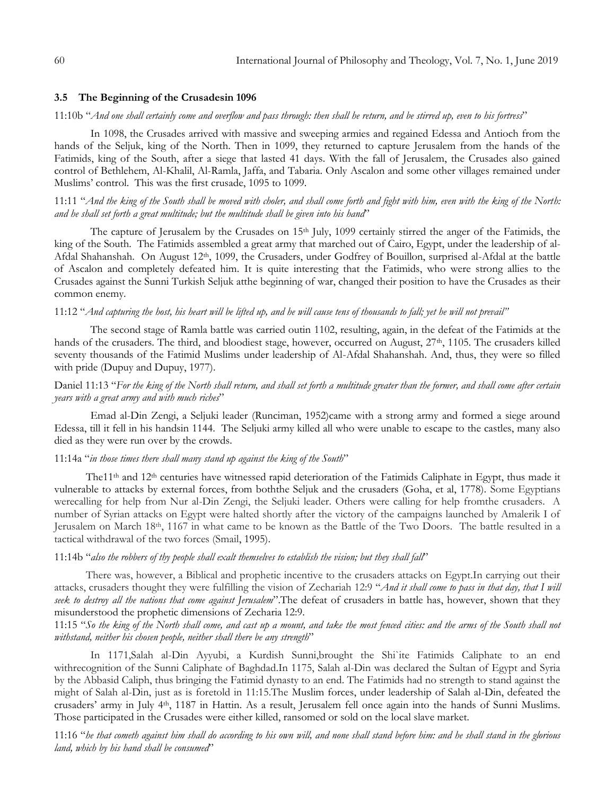#### **3.5 The Beginning of the Crusadesin 1096**

## 11:10b "*And one shall certainly come and overflow and pass through: then shall he return, and be stirred up, even to his fortress*"

In 1098, the Crusades arrived with massive and sweeping armies and regained Edessa and Antioch from the hands of the Seljuk, king of the North. Then in 1099, they returned to capture Jerusalem from the hands of the Fatimids, king of the South, after a siege that lasted 41 days. With the fall of Jerusalem, the Crusades also gained control of Bethlehem, Al-Khalil, Al-Ramla, Jaffa, and Tabaria. Only Ascalon and some other villages remained under Muslims' control. This was the first crusade, 1095 to 1099.

### 11:11 "*And the king of the South shall be moved with choler, and shall come forth and fight with him, even with the king of the North: and he shall set forth a great multitude; but the multitude shall be given into his hand*"

The capture of Jerusalem by the Crusades on 15<sup>th</sup> July, 1099 certainly stirred the anger of the Fatimids, the king of the South. The Fatimids assembled a great army that marched out of Cairo, Egypt, under the leadership of al-Afdal Shahanshah. On August 12<sup>th</sup>, 1099, the Crusaders, under Godfrey of Bouillon, surprised al-Afdal at the battle of Ascalon and completely defeated him. It is quite interesting that the Fatimids, who were strong allies to the Crusades against the Sunni Turkish Seljuk atthe beginning of war, changed their position to have the Crusades as their common enemy.

### 11:12 "*And capturing the host, his heart will be lifted up, and he will cause tens of thousands to fall; yet he will not prevail"*

The second stage of Ramla battle was carried outin 1102, resulting, again, in the defeat of the Fatimids at the hands of the crusaders. The third, and bloodiest stage, however, occurred on August, 27<sup>th</sup>, 1105. The crusaders killed seventy thousands of the Fatimid Muslims under leadership of Al-Afdal Shahanshah. And, thus, they were so filled with pride (Dupuy and Dupuy, 1977).

### Daniel 11:13 "*For the king of the North shall return, and shall set forth a multitude greater than the former, and shall come after certain years with a great army and with much riches*"

Emad al-Din Zengi, a Seljuki leader (Runciman, 1952)came with a strong army and formed a siege around Edessa, till it fell in his handsin 1144. The Seljuki army killed all who were unable to escape to the castles, many also died as they were run over by the crowds.

#### 11:14a "*in those times there shall many stand up against the king of the South*"

The11<sup>th</sup> and 12<sup>th</sup> centuries have witnessed rapid deterioration of the Fatimids Caliphate in Egypt, thus made it vulnerable to attacks by external forces, from boththe Seljuk and the crusaders (Goha, et al, 1778). Some Egyptians werecalling for help from Nur al-Din Zengi, the Seljuki leader. Others were calling for help fromthe crusaders. A number of Syrian attacks on Egypt were halted shortly after the victory of the campaigns launched by Amalerik I of Jerusalem on March 18th, 1167 in what came to be known as the Battle of the Two Doors. The battle resulted in a tactical withdrawal of the two forces (Smail, 1995).

#### 11:14b "*also the robbers of thy people shall exalt themselves to establish the vision; but they shall fall*"

There was, however, a Biblical and prophetic incentive to the crusaders attacks on Egypt.In carrying out their attacks, crusaders thought they were fulfilling the vision of Zechariah 12:9 "*And it shall come to pass in that day, that I will seek to destroy all the nations that come against Jerusalem*".The defeat of crusaders in battle has, however, shown that they misunderstood the prophetic dimensions of Zecharia 12:9.

## 11:15 "*So the king of the North shall come, and cast up a mount, and take the most fenced cities: and the arms of the South shall not withstand, neither his chosen people, neither shall there be any strength*"

In 1171,Salah al-Din Ayyubi, a Kurdish Sunni,brought the Shi`ite Fatimids Caliphate to an end withrecognition of the Sunni Caliphate of Baghdad.In 1175, Salah al-Din was declared the Sultan of Egypt and Syria by the Abbasid Caliph, thus bringing the Fatimid dynasty to an end. The Fatimids had no strength to stand against the might of Salah al-Din, just as is foretold in 11:15.The Muslim forces, under leadership of Salah al-Din, defeated the crusaders" army in July 4th, 1187 in Hattin. As a result, Jerusalem fell once again into the hands of Sunni Muslims. Those participated in the Crusades were either killed, ransomed or sold on the local slave market.

11:16 "*he that cometh against him shall do according to his own will, and none shall stand before him: and he shall stand in the glorious land, which by his hand shall be consumed*"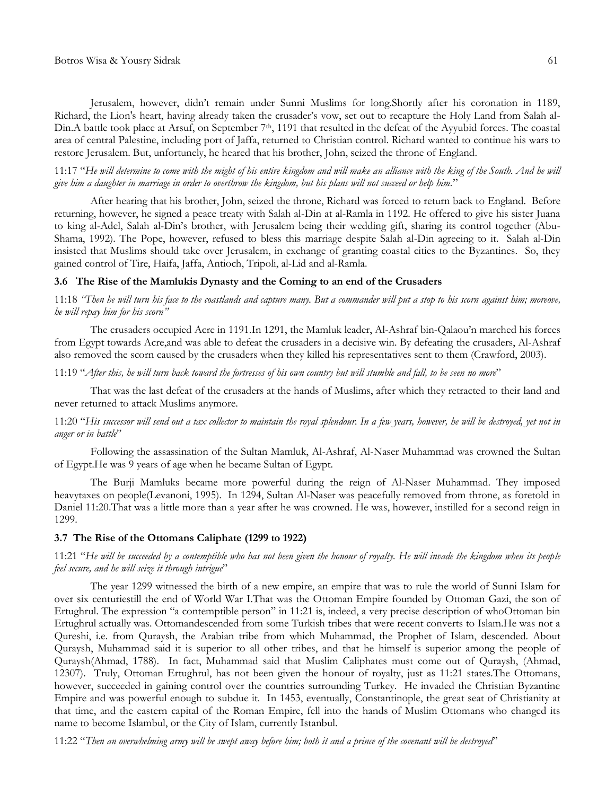Jerusalem, however, didn"t remain under Sunni Muslims for long.Shortly after his coronation in 1189, Richard, the Lion's heart, having already taken the crusader's vow, set out to recapture the Holy Land from Salah al-Din.A battle took place at Arsuf, on September  $7<sup>th</sup>$ , 1191 that resulted in the defeat of the Ayyubid forces. The coastal area of central Palestine, including port of Jaffa, returned to Christian control. Richard wanted to continue his wars to restore Jerusalem. But, unfortunely, he heared that his brother, John, seized the throne of England.

11:17 "*He will determine to come with the might of his entire kingdom and will make an alliance with the king of the South. And he will give him a daughter in marriage in order to overthrow the kingdom, but his plans will not succeed or help him.*"

After hearing that his brother, John, seized the throne, Richard was forced to return back to England. Before returning, however, he signed a peace treaty with Salah al-Din at al-Ramla in 1192. He offered to give his sister Juana to king al-Adel, Salah al-Din"s brother, with Jerusalem being their wedding gift, sharing its control together (Abu-Shama, 1992). The Pope, however, refused to bless this marriage despite Salah al-Din agreeing to it. Salah al-Din insisted that Muslims should take over Jerusalem, in exchange of granting coastal cities to the Byzantines. So, they gained control of Tire, Haifa, Jaffa, Antioch, Tripoli, al-Lid and al-Ramla.

### **3.6 The Rise of the Mamlukis Dynasty and the Coming to an end of the Crusaders**

11:18 *"Then he will turn his face to the coastlands and capture many. But a commander will put a stop to his scorn against him; moreove, he will repay him for his scorn"*

The crusaders occupied Acre in 1191.In 1291, the Mamluk leader, Al-Ashraf bin-Qalaou"n marched his forces from Egypt towards Acre,and was able to defeat the crusaders in a decisive win. By defeating the crusaders, Al-Ashraf also removed the scorn caused by the crusaders when they killed his representatives sent to them (Crawford, 2003).

### 11:19 "*After this, he will turn back toward the fortresses of his own country but will stumble and fall, to be seen no more*"

That was the last defeat of the crusaders at the hands of Muslims, after which they retracted to their land and never returned to attack Muslims anymore.

### 11:20 "*His successor will send out a tax collector to maintain the royal splendour. In a few years, however, he will be destroyed, yet not in anger or in battle*"

Following the assassination of the Sultan Mamluk, Al-Ashraf, Al-Naser Muhammad was crowned the Sultan of Egypt.He was 9 years of age when he became Sultan of Egypt.

The Burji Mamluks became more powerful during the reign of Al-Naser Muhammad. They imposed heavytaxes on people(Levanoni, 1995). In 1294, Sultan Al-Naser was peacefully removed from throne, as foretold in Daniel 11:20.That was a little more than a year after he was crowned. He was, however, instilled for a second reign in 1299.

#### **3.7 The Rise of the Ottomans Caliphate (1299 to 1922)**

### 11:21 "*He will be succeeded by a contemptible who has not been given the honour of royalty. He will invade the kingdom when its people feel secure, and he will seize it through intrigue*"

The year 1299 witnessed the birth of a new empire, an empire that was to rule the world of Sunni Islam for over six centuriestill the end of World War I.That was the Ottoman Empire founded by Ottoman Gazi, the son of Ertughrul. The expression "a contemptible person" in 11:21 is, indeed, a very precise description of whoOttoman bin Ertughrul actually was. Ottomandescended from some Turkish tribes that were recent converts to Islam.He was not a Qureshi, i.e. from Quraysh, the Arabian tribe from which Muhammad, the Prophet of Islam, descended. About Quraysh, Muhammad said it is superior to all other tribes, and that he himself is superior among the people of Quraysh(Ahmad, 1788). In fact, Muhammad said that Muslim Caliphates must come out of Quraysh, (Ahmad, 12307). Truly, Ottoman Ertughrul, has not been given the honour of royalty, just as 11:21 states.The Ottomans, however, succeeded in gaining control over the countries surrounding Turkey. He invaded the Christian Byzantine Empire and was powerful enough to subdue it. In 1453, eventually, Constantinople, the great seat of Christianity at that time, and the eastern capital of the Roman Empire, fell into the hands of Muslim Ottomans who changed its name to become Islambul, or the City of Islam, currently Istanbul.

11:22 "*Then an overwhelming army will be swept away before him; both it and a prince of the covenant will be destroyed*"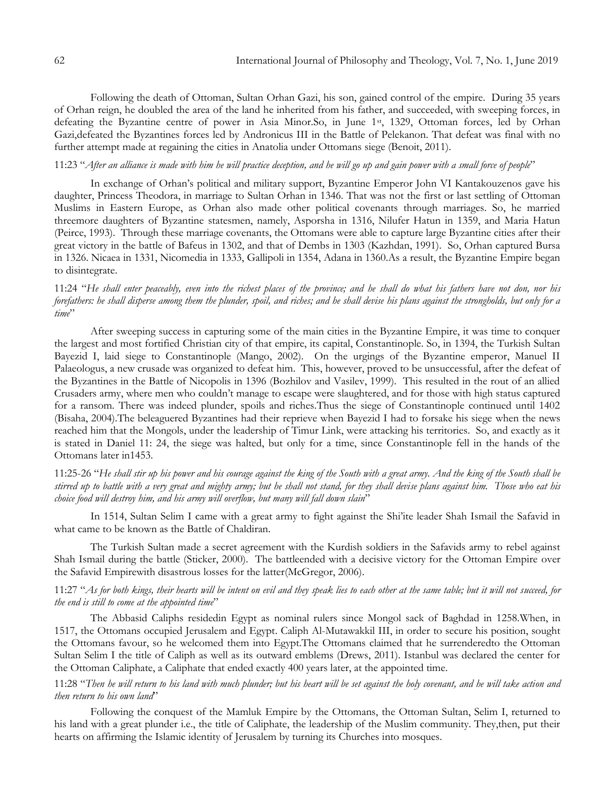Following the death of Ottoman, Sultan Orhan Gazi, his son, gained control of the empire. During 35 years of Orhan reign, he doubled the area of the land he inherited from his father, and succeeded, with sweeping forces, in defeating the Byzantine centre of power in Asia Minor.So, in June 1st, 1329, Ottoman forces, led by Orhan Gazi,defeated the Byzantines forces led by Andronicus III in the Battle of Pelekanon. That defeat was final with no further attempt made at regaining the cities in Anatolia under Ottomans siege (Benoit, 2011).

## 11:23 "*After an alliance is made with him he will practice deception, and he will go up and gain power with a small force of people*"

In exchange of Orhan"s political and military support, Byzantine Emperor John VI Kantakouzenos gave his daughter, Princess Theodora, in marriage to Sultan Orhan in 1346. That was not the first or last settling of Ottoman Muslims in Eastern Europe, as Orhan also made other political covenants through marriages. So, he married threemore daughters of Byzantine statesmen, namely, Asporsha in 1316, Nilufer Hatun in 1359, and Maria Hatun (Peirce, 1993). Through these marriage covenants, the Ottomans were able to capture large Byzantine cities after their great victory in the battle of Bafeus in 1302, and that of Dembs in 1303 (Kazhdan, 1991). So, Orhan captured Bursa in 1326. Nicaea in 1331, Nicomedia in 1333, Gallipoli in 1354, Adana in 1360.As a result, the Byzantine Empire began to disintegrate.

11:24 "*He shall enter peaceably, even into the richest places of the province; and he shall do what his fathers have not don, nor his forefathers: he shall disperse among them the plunder, spoil, and riches; and he shall devise his plans against the strongholds, but only for a time*"

After sweeping success in capturing some of the main cities in the Byzantine Empire, it was time to conquer the largest and most fortified Christian city of that empire, its capital, Constantinople. So, in 1394, the Turkish Sultan Bayezid I, laid siege to Constantinople (Mango, 2002). On the urgings of the Byzantine emperor, Manuel II Palaeologus, a new crusade was organized to defeat him. This, however, proved to be unsuccessful, after the defeat of the Byzantines in the Battle of Nicopolis in 1396 (Bozhilov and Vasilev, 1999). This resulted in the rout of an allied Crusaders army, where men who couldn"t manage to escape were slaughtered, and for those with high status captured for a ransom. There was indeed plunder, spoils and riches.Thus the siege of Constantinople continued until 1402 (Bisaha, 2004).The beleaguered Byzantines had their reprieve when Bayezid I had to forsake his siege when the news reached him that the Mongols, under the leadership of Timur Link, were attacking his territories. So, and exactly as it is stated in Daniel 11: 24, the siege was halted, but only for a time, since Constantinople fell in the hands of the Ottomans later in1453.

11:25-26 "*He shall stir up his power and his courage against the king of the South with a great army. And the king of the South shall be stirred up to battle with a very great and mighty army; but he shall not stand, for they shall devise plans against him. Those who eat his choice food will destroy him, and his army will overflow, but many will fall down slain*"

In 1514, Sultan Selim I came with a great army to fight against the Shi"ite leader Shah Ismail the Safavid in what came to be known as the Battle of Chaldiran.

The Turkish Sultan made a secret agreement with the Kurdish soldiers in the Safavids army to rebel against Shah Ismail during the battle (Sticker, 2000). The battleended with a decisive victory for the Ottoman Empire over the Safavid Empirewith disastrous losses for the latter(McGregor, 2006).

### 11:27 "*As for both kings, their hearts will be intent on evil and they speak lies to each other at the same table; but it will not succeed, for the end is still to come at the appointed time*"

The Abbasid Caliphs residedin Egypt as nominal rulers since Mongol sack of Baghdad in 1258.When, in 1517, the Ottomans occupied Jerusalem and Egypt. Caliph Al-Mutawakkil III, in order to secure his position, sought the Ottomans favour, so he welcomed them into Egypt.The Ottomans claimed that he surrenderedto the Ottoman Sultan Selim I the title of Caliph as well as its outward emblems (Drews, 2011). Istanbul was declared the center for the Ottoman Caliphate, a Caliphate that ended exactly 400 years later, at the appointed time.

## 11:28 "*Then he will return to his land with much plunder; but his heart will be set against the holy covenant, and he will take action and then return to his own land*"

Following the conquest of the Mamluk Empire by the Ottomans, the Ottoman Sultan, Selim I, returned to his land with a great plunder i.e., the title of Caliphate, the leadership of the Muslim community. They,then, put their hearts on affirming the Islamic identity of Jerusalem by turning its Churches into mosques.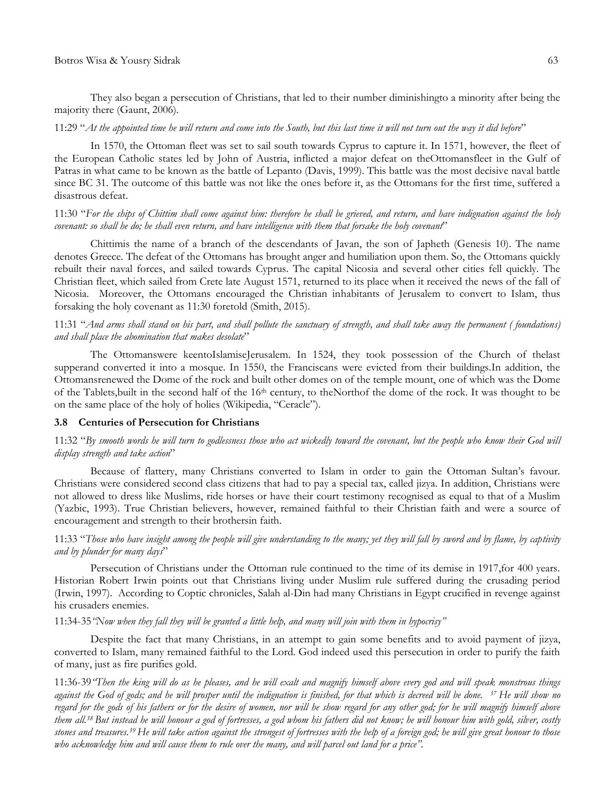They also began a persecution of Christians, that led to their number diminishingto a minority after being the majority there (Gaunt, 2006).

### 11:29 "*At the appointed time he will return and come into the South, but this last time it will not turn out the way it did before*"

In 1570, the Ottoman fleet was set to sail south towards Cyprus to capture it. In 1571, however, the fleet of the European Catholic states led by John of Austria, inflicted a major defeat on theOttomansfleet in the Gulf of Patras in what came to be known as the battle of Lepanto (Davis, 1999). This battle was the most decisive naval battle since BC 31. The outcome of this battle was not like the ones before it, as the Ottomans for the first time, suffered a disastrous defeat.

### 11:30 "*For the ships of Chittim shall come against him: therefore he shall be grieved, and return, and have indignation against the holy covenant: so shall he do; he shall even return, and have intelligence with them that forsake the holy covenant*"

Chittimis the name of a branch of the descendants of Javan, the son of Japheth (Genesis 10). The name denotes Greece. The defeat of the Ottomans has brought anger and humiliation upon them. So, the Ottomans quickly rebuilt their naval forces, and sailed towards Cyprus. The capital Nicosia and several other cities fell quickly. The Christian fleet, which sailed from Crete late August 1571, returned to its place when it received the news of the fall of Nicosia. Moreover, the Ottomans encouraged the Christian inhabitants of Jerusalem to convert to Islam, thus forsaking the holy covenant as 11:30 foretold (Smith, 2015).

## 11:31 "*And arms shall stand on his part, and shall pollute the sanctuary of strength, and shall take away the permanent ( foundations) and shall place the abomination that makes desolate*"

The Ottomanswere keentoIslamiseJerusalem. In 1524, they took possession of the Church of thelast supperand converted it into a mosque. In 1550, the Franciscans were evicted from their buildings.In addition, the Ottomansrenewed the Dome of the rock and built other domes on of the temple mount, one of which was the Dome of the Tablets,built in the second half of the 16th century, to theNorthof the dome of the rock. It was thought to be on the same place of the holy of holies (Wikipedia, "Ceracle").

#### **3.8 Centuries of Persecution for Christians**

### 11:32 "*By smooth words he will turn to godlessness those who act wickedly toward the covenant, but the people who know their God will display strength and take action*"

Because of flattery, many Christians converted to Islam in order to gain the Ottoman Sultan"s favour. Christians were considered second class citizens that had to pay a special tax, called jizya. In addition, Christians were not allowed to dress like Muslims, ride horses or have their court testimony recognised as equal to that of a Muslim (Yazbic, 1993). True Christian believers, however, remained faithful to their Christian faith and were a source of encouragement and strength to their brothersin faith.

## 11:33 "*Those who have insight among the people will give understanding to the many; yet they will fall by sword and by flame, by captivity and by plunder for many days*"

Persecution of Christians under the Ottoman rule continued to the time of its demise in 1917,for 400 years. Historian Robert Irwin points out that Christians living under Muslim rule suffered during the crusading period (Irwin, 1997). According to Coptic chronicles, Salah al-Din had many Christians in Egypt crucified in revenge against his crusaders enemies.

#### 11:34-35*"Now when they fall they will be granted a little help, and many will join with them in hypocrisy"*

Despite the fact that many Christians, in an attempt to gain some benefits and to avoid payment of jizya, converted to Islam, many remained faithful to the Lord. God indeed used this persecution in order to purify the faith of many, just as fire purifies gold.

11:36-39*"Then the king will do as he pleases, and he will exalt and magnify himself above every god and will speak monstrous things against the God of gods; and he will prosper until the indignation is finished, for that which is decreed will be done. 37 He will show no regard for the gods of his fathers or for the desire of women, nor will he show regard for any other god; for he will magnify himself above them all.<sup>38</sup> But instead he will honour a god of fortresses, a god whom his fathers did not know; he will honour him with gold, silver, costly stones and treasures.<sup>39</sup> He will take action against the strongest of fortresses with the help of a foreign god; he will give great honour to those who acknowledge him and will cause them to rule over the many, and will parcel out land for a price".*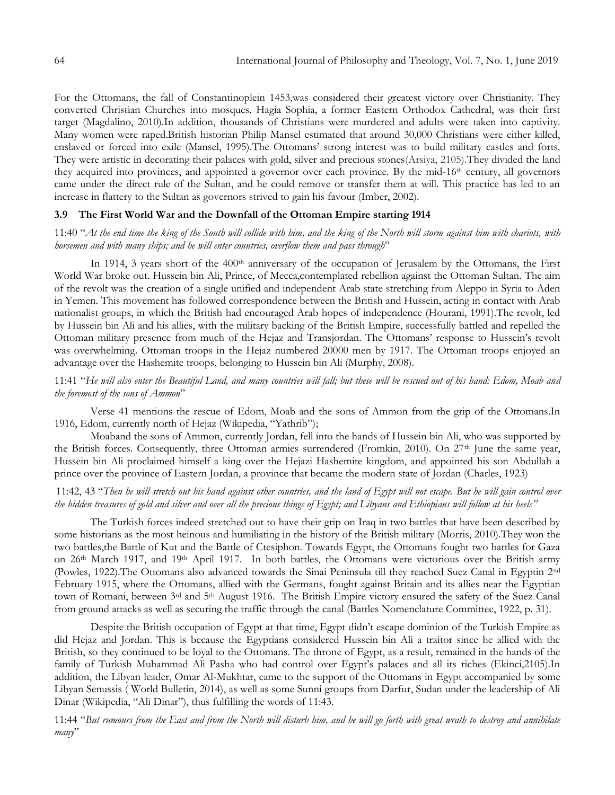For the Ottomans, the fall of Constantinoplein 1453,was considered their greatest victory over Christianity. They converted Christian Churches into mosques. Hagia Sophia, a former Eastern Orthodox Cathedral, was their first target (Magdalino, 2010).In addition, thousands of Christians were murdered and adults were taken into captivity. Many women were raped.British historian Philip Mansel estimated that around 30,000 Christians were either killed, enslaved or forced into exile (Mansel, 1995).The Ottomans" strong interest was to build military castles and forts. They were artistic in decorating their palaces with gold, silver and precious stones(Arsiya, 2105).They divided the land they acquired into provinces, and appointed a governor over each province. By the mid-16th century, all governors came under the direct rule of the Sultan, and he could remove or transfer them at will. This practice has led to an increase in flattery to the Sultan as governors strived to gain his favour (Imber, 2002).

## **3.9 The First World War and the Downfall of the Ottoman Empire starting 1914**

11:40 "*At the end time the king of the South will collide with him, and the king of the North will storm against him with chariots, with horsemen and with many ships; and he will enter countries, overflow them and pass through*"

In 1914, 3 years short of the 400<sup>th</sup> anniversary of the occupation of Jerusalem by the Ottomans, the First World War broke out. Hussein bin Ali, Prince, of Mecca,contemplated rebellion against the Ottoman Sultan. The aim of the revolt was the creation of a single unified and independent Arab state stretching from Aleppo in Syria to Aden in Yemen. This movement has followed correspondence between the British and Hussein, acting in contact with Arab nationalist groups, in which the British had encouraged Arab hopes of independence (Hourani, 1991).The revolt, led by Hussein bin Ali and his allies, with the military backing of the British Empire, successfully battled and repelled the Ottoman military presence from much of the Hejaz and Transjordan. The Ottomans" response to Hussein"s revolt was overwhelming. Ottoman troops in the Hejaz numbered 20000 men by 1917. The Ottoman troops enjoyed an advantage over the Hashemite troops, belonging to Hussein bin Ali (Murphy, 2008).

11:41 "*He will also enter the Beautiful Land, and many countries will fall; but these will be rescued out of his hand: Edom, Moab and the foremost of the sons of Ammon*"

Verse 41 mentions the rescue of Edom, Moab and the sons of Ammon from the grip of the Ottomans.In 1916, Edom, currently north of Hejaz (Wikipedia, "Yathrib");

Moaband the sons of Ammon, currently Jordan, fell into the hands of Hussein bin Ali, who was supported by the British forces. Consequently, three Ottoman armies surrendered (Fromkin, 2010). On 27th June the same year, Hussein bin Ali proclaimed himself a king over the Hejazi Hashemite kingdom, and appointed his son Abdullah a prince over the province of Eastern Jordan, a province that became the modern state of Jordan (Charles, 1923)

## 11:42, 43 "*Then he will stretch out his hand against other countries, and the land of Egypt will not escape. But he will gain control over the hidden treasures of gold and silver and over all the precious things of Egypt; and Libyans and Ethiopians will follow at his heels"*

The Turkish forces indeed stretched out to have their grip on Iraq in two battles that have been described by some historians as the most heinous and humiliating in the history of the British military (Morris, 2010).They won the two battles,the Battle of Kut and the Battle of Ctesiphon. Towards Egypt, the Ottomans fought two battles for Gaza on 26th March 1917, and 19th April 1917. In both battles, the Ottomans were victorious over the British army (Powles, 1922).The Ottomans also advanced towards the Sinai Peninsula till they reached Suez Canal in Egyptin 2nd February 1915, where the Ottomans, allied with the Germans, fought against Britain and its allies near the Egyptian town of Romani, between 3<sup>rd</sup> and 5<sup>th</sup> August 1916. The British Empire victory ensured the safety of the Suez Canal from ground attacks as well as securing the traffic through the canal (Battles Nomenclature Committee, 1922, p. 31).

Despite the British occupation of Egypt at that time, Egypt didn"t escape dominion of the Turkish Empire as did Hejaz and Jordan. This is because the Egyptians considered Hussein bin Ali a traitor since he allied with the British, so they continued to be loyal to the Ottomans. The throne of Egypt, as a result, remained in the hands of the family of Turkish Muhammad Ali Pasha who had control over Egypt's palaces and all its riches (Ekinci,2105).In addition, the Libyan leader, Omar Al-Mukhtar, came to the support of the Ottomans in Egypt accompanied by some Libyan Senussis ( World Bulletin, 2014), as well as some Sunni groups from Darfur, Sudan under the leadership of Ali Dinar (Wikipedia, "Ali Dinar"), thus fulfilling the words of 11:43.

11:44 "*But rumours from the East and from the North will disturb him, and he will go forth with great wrath to destroy and annihilate many*"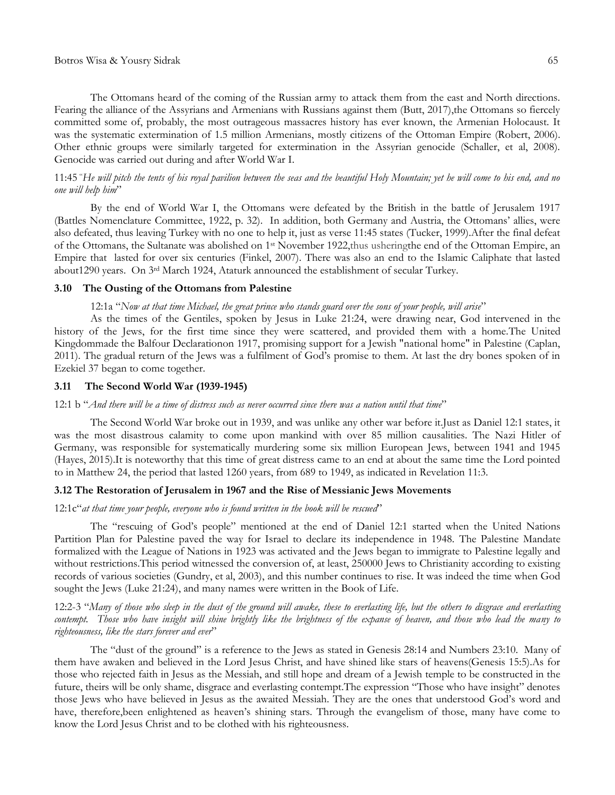The Ottomans heard of the coming of the Russian army to attack them from the east and North directions. Fearing the alliance of the Assyrians and Armenians with Russians against them (Butt, 2017),the Ottomans so fiercely committed some of, probably, the most outrageous massacres history has ever known, the Armenian Holocaust. It was the systematic extermination of 1.5 million Armenians, mostly citizens of the Ottoman Empire (Robert, 2006). Other ethnic groups were similarly targeted for extermination in the Assyrian genocide (Schaller, et al, 2008). Genocide was carried out during and after World War I.

### 11:45 "*He will pitch the tents of his royal pavilion between the seas and the beautiful Holy Mountain; yet he will come to his end, and no one will help him*"

By the end of World War I, the Ottomans were defeated by the British in the battle of Jerusalem 1917 (Battles Nomenclature Committee, 1922, p. 32). In addition, both Germany and Austria, the Ottomans" allies, were also defeated, thus leaving Turkey with no one to help it, just as verse 11:45 states (Tucker, 1999).After the final defeat of the Ottomans, the Sultanate was abolished on 1st November 1922,thus usheringthe end of the Ottoman Empire, an Empire that lasted for over six centuries (Finkel, 2007). There was also an end to the Islamic Caliphate that lasted about1290 years. On 3rd March 1924, Ataturk announced the establishment of secular Turkey.

#### **3.10 The Ousting of the Ottomans from Palestine**

#### 12:1a "*Now at that time Michael, the great prince who stands guard over the sons of your people, will arise*"

As the times of the Gentiles, spoken by Jesus in Luke 21:24, were drawing near, God intervened in the history of the Jews, for the first time since they were scattered, and provided them with a home.The United Kingdommade the Balfour Declarationon 1917, promising support for a Jewish "national home" in Palestine (Caplan, 2011). The gradual return of the Jews was a fulfilment of God"s promise to them. At last the dry bones spoken of in Ezekiel 37 began to come together.

### **3.11 The Second World War (1939-1945)**

#### 12:1 b "*And there will be a time of distress such as never occurred since there was a nation until that time*"

The Second World War broke out in 1939, and was unlike any other war before it.Just as Daniel 12:1 states, it was the most disastrous calamity to come upon mankind with over 85 million causalities. The Nazi Hitler of Germany, was responsible for systematically murdering some six million European Jews, between 1941 and 1945 (Hayes, 2015).It is noteworthy that this time of great distress came to an end at about the same time the Lord pointed to in Matthew 24, the period that lasted 1260 years, from 689 to 1949, as indicated in Revelation 11:3.

### **3.12 The Restoration of Jerusalem in 1967 and the Rise of Messianic Jews Movements**

### 12:1c"*at that time your people, everyone who is found written in the book will be rescued*"

The "rescuing of God"s people" mentioned at the end of Daniel 12:1 started when the United Nations Partition Plan for Palestine paved the way for Israel to declare its independence in 1948. The Palestine Mandate formalized with the League of Nations in 1923 was activated and the Jews began to immigrate to Palestine legally and without restrictions.This period witnessed the conversion of, at least, 250000 Jews to Christianity according to existing records of various societies (Gundry, et al, 2003), and this number continues to rise. It was indeed the time when God sought the Jews (Luke 21:24), and many names were written in the Book of Life.

12:2-3 "*Many of those who sleep in the dust of the ground will awake, these to everlasting life, but the others to disgrace and everlasting*  contempt. Those who have insight will shine brightly like the brightness of the expanse of heaven, and those who lead the many to *righteousness, like the stars forever and ever*"

The "dust of the ground" is a reference to the Jews as stated in Genesis 28:14 and Numbers 23:10. Many of them have awaken and believed in the Lord Jesus Christ, and have shined like stars of heavens(Genesis 15:5).As for those who rejected faith in Jesus as the Messiah, and still hope and dream of a Jewish temple to be constructed in the future, theirs will be only shame, disgrace and everlasting contempt.The expression "Those who have insight" denotes those Jews who have believed in Jesus as the awaited Messiah. They are the ones that understood God's word and have, therefore, been enlightened as heaven's shining stars. Through the evangelism of those, many have come to know the Lord Jesus Christ and to be clothed with his righteousness.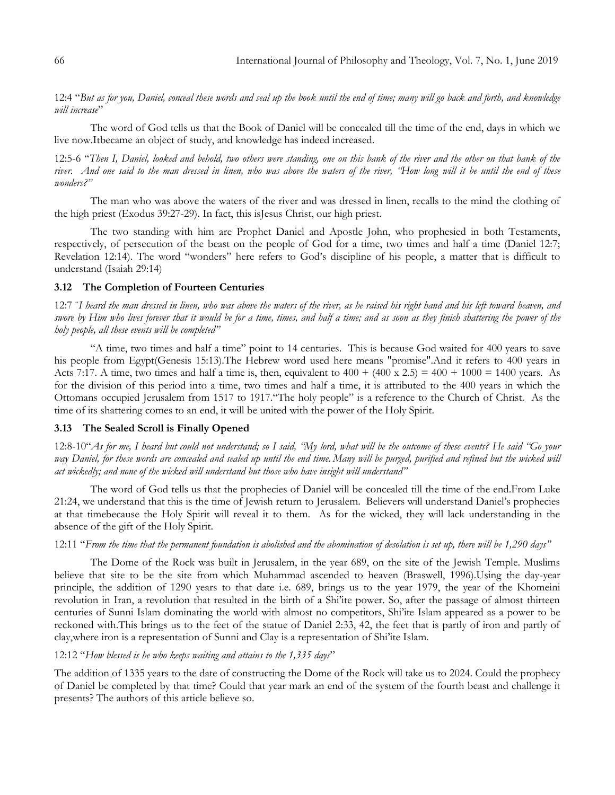12:4 "*But as for you, Daniel, conceal these words and seal up the book until the end of time; many will go back and forth, and knowledge will increase*"

The word of God tells us that the Book of Daniel will be concealed till the time of the end, days in which we live now.Itbecame an object of study, and knowledge has indeed increased.

12:5-6 "*Then I, Daniel, looked and behold, two others were standing, one on this bank of the river and the other on that bank of the*  river. And one said to the man dressed in linen, who was above the waters of the river, "How long will it be until the end of these *wonders?"*

The man who was above the waters of the river and was dressed in linen, recalls to the mind the clothing of the high priest (Exodus 39:27-29). In fact, this isJesus Christ, our high priest.

The two standing with him are Prophet Daniel and Apostle John, who prophesied in both Testaments, respectively, of persecution of the beast on the people of God for a time, two times and half a time (Daniel 12:7; Revelation 12:14). The word "wonders" here refers to God"s discipline of his people, a matter that is difficult to understand (Isaiah 29:14)

### **3.12 The Completion of Fourteen Centuries**

12:7 "*I heard the man dressed in linen, who was above the waters of the river, as he raised his right hand and his left toward heaven, and swore by Him who lives forever that it would be for a time, times, and half a time; and as soon as they finish shattering the power of the holy people, all these events will be completed"*

"A time, two times and half a time" point to 14 centuries. This is because God waited for 400 years to save his people from Egypt(Genesis 15:13).The Hebrew word used here means "promise".And it refers to 400 years in Acts 7:17. A time, two times and half a time is, then, equivalent to  $400 + (400 \times 2.5) = 400 + 1000 = 1400$  years. As for the division of this period into a time, two times and half a time, it is attributed to the 400 years in which the Ottomans occupied Jerusalem from 1517 to 1917."The holy people" is a reference to the Church of Christ. As the time of its shattering comes to an end, it will be united with the power of the Holy Spirit.

#### **3.13 The Sealed Scroll is Finally Opened**

12:8-10"*As for me, I heard but could not understand; so I said, "My lord, what will be the outcome of these events? He said "Go your way Daniel, for these words are concealed and sealed up until the end time. Many will be purged, purified and refined but the wicked will act wickedly; and none of the wicked will understand but those who have insight will understand"*

The word of God tells us that the prophecies of Daniel will be concealed till the time of the end.From Luke 21:24, we understand that this is the time of Jewish return to Jerusalem. Believers will understand Daniel"s prophecies at that timebecause the Holy Spirit will reveal it to them. As for the wicked, they will lack understanding in the absence of the gift of the Holy Spirit.

### 12:11 "*From the time that the permanent foundation is abolished and the abomination of desolation is set up, there will be 1,290 days"*

The Dome of the Rock was built in Jerusalem, in the year 689, on the site of the Jewish Temple. Muslims believe that site to be the site from which Muhammad ascended to heaven (Braswell, 1996).Using the day-year principle, the addition of 1290 years to that date i.e. 689, brings us to the year 1979, the year of the Khomeini revolution in Iran, a revolution that resulted in the birth of a Shi"ite power. So, after the passage of almost thirteen centuries of Sunni Islam dominating the world with almost no competitors, Shi"ite Islam appeared as a power to be reckoned with.This brings us to the feet of the statue of Daniel 2:33, 42, the feet that is partly of iron and partly of clay,where iron is a representation of Sunni and Clay is a representation of Shi"ite Islam.

#### 12:12 "*How blessed is he who keeps waiting and attains to the 1,335 days*"

The addition of 1335 years to the date of constructing the Dome of the Rock will take us to 2024. Could the prophecy of Daniel be completed by that time? Could that year mark an end of the system of the fourth beast and challenge it presents? The authors of this article believe so.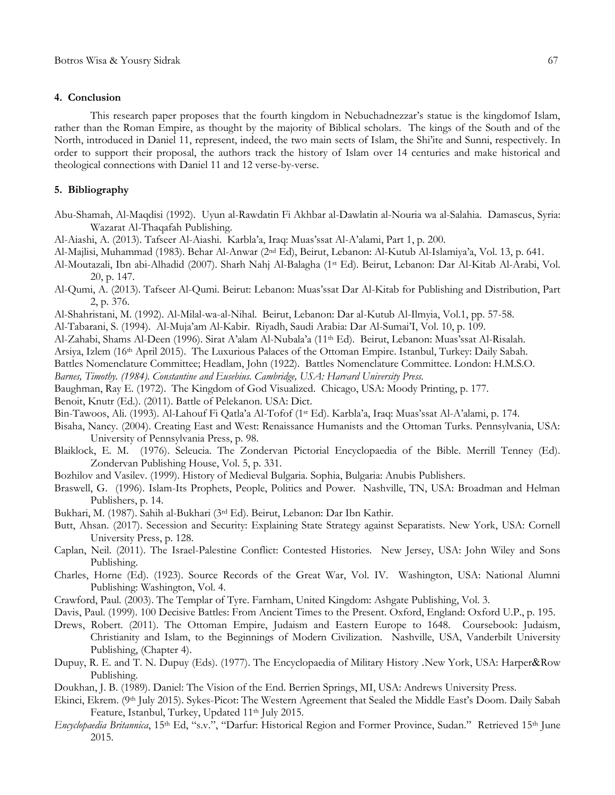#### **4. Conclusion**

This research paper proposes that the fourth kingdom in Nebuchadnezzar"s statue is the kingdomof Islam, rather than the Roman Empire, as thought by the majority of Biblical scholars. The kings of the South and of the North, introduced in Daniel 11, represent, indeed, the two main sects of Islam, the Shi"ite and Sunni, respectively. In order to support their proposal, the authors track the history of Islam over 14 centuries and make historical and theological connections with Daniel 11 and 12 verse-by-verse.

### **5. Bibliography**

- Abu-Shamah, Al-Maqdisi (1992). Uyun al-Rawdatin Fi Akhbar al-Dawlatin al-Nouria wa al-Salahia. Damascus, Syria: Wazarat Al-Thaqafah Publishing.
- Al-Aiashi, A. (2013). Tafseer Al-Aiashi. Karbla"a, Iraq: Muas"ssat Al-A"alami, Part 1, p. 200.
- Al-Majlisi, Muhammad (1983). Behar Al-Anwar (2nd Ed), Beirut, Lebanon: Al-Kutub Al-Islamiya"a, Vol. 13, p. 641.
- Al-Moutazali, Ibn abi-Alhadid (2007). Sharh Nahj Al-Balagha (1st Ed). Beirut, Lebanon: Dar Al-Kitab Al-Arabi, Vol. 20, p. 147.
- Al-Qumi, A. (2013). Tafseer Al-Qumi. Beirut: Lebanon: Muas"ssat Dar Al-Kitab for Publishing and Distribution, Part 2, p. 376.
- Al-Shahristani, M. (1992). Al-Milal-wa-al-Nihal. Beirut, Lebanon: Dar al-Kutub Al-Ilmyia, Vol.1, pp. 57-58.
- Al-Tabarani, S. (1994). Al-Muja"am Al-Kabir. Riyadh, Saudi Arabia: Dar Al-Sumai"I, Vol. 10, p. 109.
- Al-Zahabi, Shams Al-Deen (1996). Sirat A"alam Al-Nubala"a (11th Ed). Beirut, Lebanon: Muas"ssat Al-Risalah.
- Arsiya, Izlem (16th April 2015). The Luxurious Palaces of the Ottoman Empire. Istanbul, Turkey: Daily Sabah.
- Battles Nomenclature Committee; Headlam, John (1922). Battles Nomenclature Committee. London: H.M.S.O.

*Barnes, Timothy. (1984). Constantine and Eusebius. Cambridge, USA: Harvard University Press.*

- Baughman, Ray E. (1972). The Kingdom of God Visualized. Chicago, USA: Moody Printing, p. 177.
- Benoit, Knutr (Ed.). (2011). Battle of Pelekanon. USA: Dict.
- Bin-Tawoos, Ali. (1993). Al-Lahouf Fi Qatla"a Al-Tofof (1st Ed). Karbla"a, Iraq: Muas"ssat Al-A"alami, p. 174.
- Bisaha, Nancy. (2004). Creating East and West: Renaissance Humanists and the Ottoman Turks. Pennsylvania, USA: University of Pennsylvania Press, p. 98.
- Blaiklock, E. M. (1976). Seleucia. The Zondervan Pictorial Encyclopaedia of the Bible. Merrill Tenney (Ed). Zondervan Publishing House, Vol. 5, p. 331.
- Bozhilov and Vasilev. (1999). History of Medieval Bulgaria. Sophia, Bulgaria: Anubis Publishers.
- Braswell, G. (1996). Islam-Its Prophets, People, Politics and Power. Nashville, TN, USA: Broadman and Helman Publishers, p. 14.
- Bukhari, M. (1987). Sahih al-Bukhari (3rd Ed). Beirut, Lebanon: Dar Ibn Kathir.
- Butt, Ahsan. (2017). Secession and Security: Explaining State Strategy against Separatists. New York, USA: Cornell University Press, p. 128.
- Caplan, Neil. (2011). The Israel-Palestine Conflict: Contested Histories. New Jersey, USA: John Wiley and Sons Publishing.
- Charles, Horne (Ed). (1923). Source Records of the Great War, Vol. IV. Washington, USA: National Alumni Publishing: Washington, Vol. 4.
- Crawford, Paul. (2003). The Templar of Tyre. Farnham, United Kingdom: Ashgate Publishing, Vol. 3.
- Davis, Paul. (1999). 100 Decisive Battles: From Ancient Times to the Present. Oxford, England: Oxford U.P., p. 195.
- Drews, Robert. (2011). The Ottoman Empire, Judaism and Eastern Europe to 1648. Coursebook: Judaism, Christianity and Islam, to the Beginnings of Modern Civilization. Nashville, USA, Vanderbilt University Publishing, (Chapter 4).
- Dupuy, R. E. and T. N. Dupuy (Eds). (1977). The Encyclopaedia of Military History .New York, USA: Harper&Row Publishing.
- Doukhan, J. B. (1989). Daniel: The Vision of the End*.* Berrien Springs, MI, USA: Andrews University Press.
- Ekinci, Ekrem. (9th July 2015). Sykes-Picot: The Western Agreement that Sealed the Middle East"s Doom. Daily Sabah Feature, Istanbul, Turkey, Updated 11<sup>th</sup> July 2015.
- *Encyclopaedia Britannica*, 15<sup>th</sup> Ed, "s.v.", "Darfur: Historical Region and Former Province, Sudan." Retrieved 15<sup>th</sup> June 2015.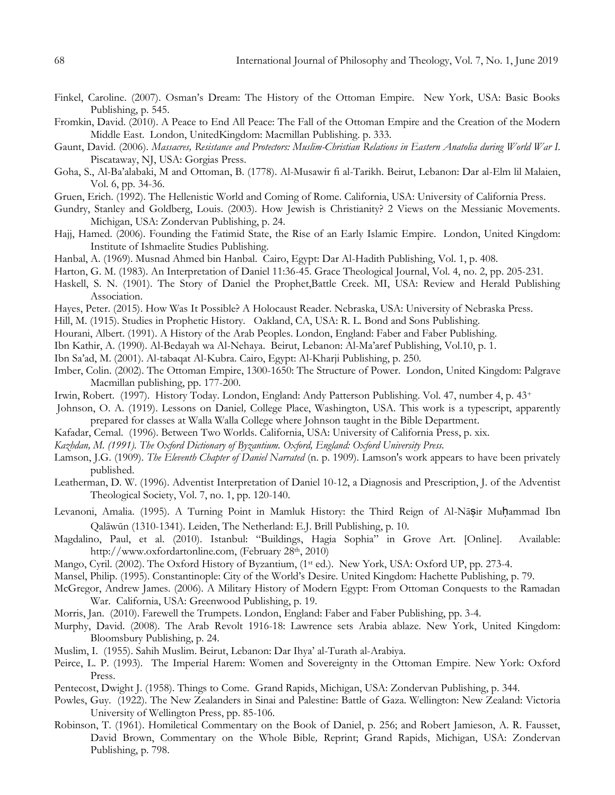- Finkel, Caroline. (2007). Osman"s Dream: The History of the Ottoman Empire. New York, USA: Basic Books Publishing, p. 545.
- Fromkin, David. (2010). A Peace to End All Peace: The Fall of the Ottoman Empire and the Creation of the Modern Middle East. London, UnitedKingdom: Macmillan Publishing. p. 333.
- Gaunt, David. (2006). *Massacres, Resistance and Protectors: Muslim-Christian Relations in Eastern Anatolia during World War I.*  Piscataway, NJ, USA: Gorgias Press.
- Goha, S., Al-Ba"alabaki, M and Ottoman, B. (1778). Al-Musawir fi al-Tarikh. Beirut, Lebanon: Dar al-Elm lil Malaien, Vol. 6, pp. 34-36.
- Gruen, Erich. (1992). The Hellenistic World and Coming of Rome. California, USA: University of California Press.
- Gundry, Stanley and Goldberg, Louis. (2003). How Jewish is Christianity? 2 Views on the Messianic Movements. Michigan, USA: Zondervan Publishing, p. 24.
- Hajj, Hamed. (2006). Founding the Fatimid State, the Rise of an Early Islamic Empire. London, United Kingdom: Institute of Ishmaelite Studies Publishing.
- Hanbal, A. (1969). Musnad Ahmed bin Hanbal. Cairo, Egypt: Dar Al-Hadith Publishing, Vol. 1, p. 408.
- Harton, G. M. (1983). An Interpretation of Daniel 11:36-45. Grace Theological Journal, Vol. 4, no. 2, pp. 205-231.
- Haskell, S. N. (1901). The Story of Daniel the Prophet,Battle Creek. MI, USA: Review and Herald Publishing Association.
- Hayes, Peter. (2015). How Was It Possible? A Holocaust Reader. Nebraska, USA: University of Nebraska Press.
- Hill, M. (1915). Studies in Prophetic History*.* Oakland, CA, USA: R. L. Bond and Sons Publishing.
- Hourani, Albert. (1991). A History of the Arab Peoples. London, England: Faber and Faber Publishing.
- Ibn Kathir, A. (1990). Al-Bedayah wa Al-Nehaya. Beirut, Lebanon: Al-Ma"aref Publishing, Vol.10, p. 1.
- Ibn Sa"ad, M. (2001). Al-tabaqat Al-Kubra. Cairo, Egypt: Al-Kharji Publishing, p. 250.
- Imber, Colin. (2002). The Ottoman Empire, 1300-1650: The Structure of Power. London, United Kingdom: Palgrave Macmillan publishing, pp. 177-200.
- Irwin, Robert. (1997). History Today. London, England: Andy Patterson Publishing. Vol. 47, number 4, p. 43<sup>+</sup>
- Johnson, O. A. (1919). Lessons on Daniel*,* College Place, Washington, USA. This work is a typescript, apparently prepared for classes at Walla Walla College where Johnson taught in the Bible Department.
- Kafadar, Cemal. (1996). Between Two Worlds. California, USA: University of California Press, p. xix.
- *Kazhdan, M. (1991). The Oxford Dictionary of Byzantium. Oxford, England: Oxford University Press.*
- Lamson, J.G. (1909). *The Eleventh Chapter of Daniel Narrated* (n. p. 1909). Lamson's work appears to have been privately published.
- Leatherman, D. W. (1996). Adventist Interpretation of Daniel 10-12, a Diagnosis and Prescription, J. of the Adventist Theological Society, Vol. 7, no. 1, pp. 120-140.
- Levanoni, Amalia. (1995). A Turning Point in Mamluk History: the Third Reign of Al-Nāsir Muhammad Ibn Qalāwūn (1310-1341)*.* Leiden, The Netherland: E.J. Brill Publishing, p. 10.
- Magdalino, Paul, et al. (2010). Istanbul: "Buildings, Hagia Sophia" in Grove Art. [Online]. Available: [http://www.oxfordartonline.com,](http://www.oxfordartonline.com/) (February 28th, 2010)
- Mango, Cyril. (2002). The Oxford History of Byzantium, (1st ed.). New York, USA: Oxford UP, pp. 273-4.
- Mansel, Philip. (1995). Constantinople: City of the World"s Desire. United Kingdom: Hachette Publishing, p. 79.
- McGregor, Andrew James. (2006). A Military History of Modern Egypt: From Ottoman Conquests to the Ramadan War. California, USA: Greenwood Publishing, p. 19.
- Morris, Jan. (2010). Farewell the Trumpets. London, England: Faber and Faber Publishing, pp. 3-4.
- Murphy, David. (2008). The Arab Revolt 1916-18: Lawrence sets Arabia ablaze. New York, United Kingdom: Bloomsbury Publishing, p. 24.
- Muslim, I. (1955). Sahih Muslim. Beirut, Lebanon: Dar Ihya" al-Turath al-Arabiya.
- Peirce, L. P. (1993). The Imperial Harem: Women and Sovereignty in the Ottoman Empire. New York: Oxford Press.
- Pentecost, Dwight J. (1958). Things to Come*.* Grand Rapids, Michigan, USA: Zondervan Publishing, p. 344.
- Powles, Guy. (1922). The New Zealanders in Sinai and Palestine: Battle of Gaza. Wellington: New Zealand: Victoria University of Wellington Press, pp. 85-106.
- Robinson, T. (1961). Homiletical Commentary on the Book of Daniel, p. 256; and Robert Jamieson, A. R. Fausset, David Brown, Commentary on the Whole Bible*,* Reprint; Grand Rapids, Michigan, USA: Zondervan Publishing, p. 798.